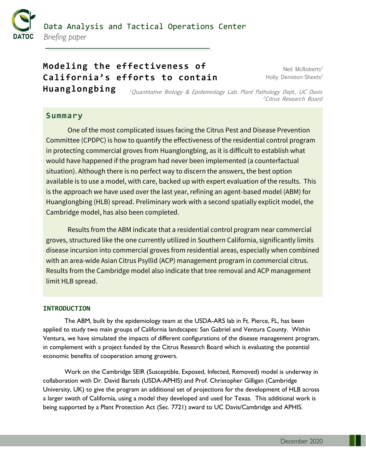

# Data Analysis and Tactical Operations Center *Briefing paper*

# **Modeling the effectiveness of California's efforts to contain Huanglongbing**

Neil McRoberts<sup>1</sup> Holly Deniston-Sheets<sup>2</sup>

<sup>1</sup>Quantitative Biology & Epidemiology Lab, Plant Pathology Dept., UC Davis <sup>2</sup>Citrus Research Board

# **Summary**

One of the most complicated issues facing the Citrus Pest and Disease Prevention Committee (CPDPC) is how to quantify the effectiveness of the residential control program in protecting commercial groves from Huanglongbing, as it is difficult to establish what would have happened if the program had never been implemented (a counterfactual situation). Although there is no perfect way to discern the answers, the best option available is to use a model, with care, backed up with expert evaluation of the results. This is the approach we have used over the last year, refining an agent-based model (ABM) for Huanglongbing (HLB) spread. Preliminary work with a second spatially explicit model, the Cambridge model, has also been completed.

Results from the ABM indicate that a residential control program near commercial groves, structured like the one currently utilized in Southern California, significantly limits disease incursion into commercial groves from residential areas, especially when combined with an area-wide Asian Citrus Psyllid (ACP) management program in commercial citrus. Results from the Cambridge model also indicate that tree removal and ACP management limit HLB spread.

## **INTRODUCTION**

The ABM, built by the epidemiology team at the USDA-ARS lab in Ft. Pierce, FL, has been applied to study two main groups of California landscapes: San Gabriel and Ventura County. Within Ventura, we have simulated the impacts of different configurations of the disease management program, in complement with a project funded by the Citrus Research Board which is evaluating the potential economic benefits of cooperation among growers.

Work on the Cambridge SEIR (Susceptible, Exposed, Infected, Removed) model is underway in collaboration with Dr. David Bartels (USDA-APHIS) and Prof. Christopher Gilligan (Cambridge University, UK) to give the program an additional set of projections for the development of HLB across a larger swath of California, using a model they developed and used for Texas. This additional work is being supported by a Plant Protection Act (Sec. 7721) award to UC Davis/Cambridge and APHIS.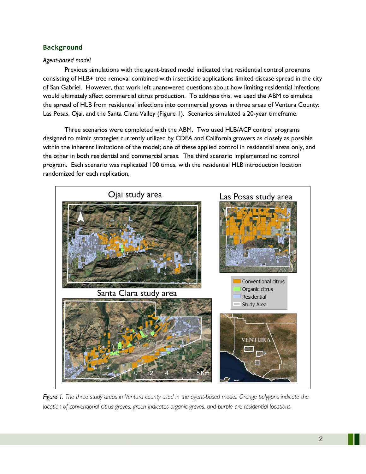## **Background**

### *Agent-based model*

Previous simulations with the agent-based model indicated that residential control programs consisting of HLB+ tree removal combined with insecticide applications limited disease spread in the city of San Gabriel. However, that work left unanswered questions about how limiting residential infections would ultimately affect commercial citrus production. To address this, we used the ABM to simulate the spread of HLB from residential infections into commercial groves in three areas of Ventura County: Las Posas, Ojai, and the Santa Clara Valley (Figure 1). Scenarios simulated a 20-year timeframe.

Three scenarios were completed with the ABM. Two used HLB/ACP control programs designed to mimic strategies currently utilized by CDFA and California growers as closely as possible within the inherent limitations of the model; one of these applied control in residential areas only, and the other in both residential and commercial areas. The third scenario implemented no control program. Each scenario was replicated 100 times, with the residential HLB introduction location randomized for each replication.



*Figure 1. The three study areas in Ventura county used in the agent-based model. Orange polygons indicate the location of conventional citrus groves, green indicates organic groves, and purple are residential locations.*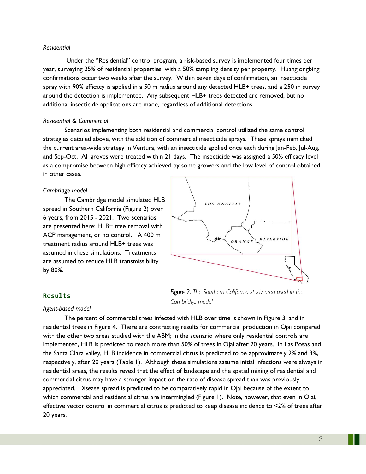#### *Residential*

Under the "Residential" control program, a risk-based survey is implemented four times per year, surveying 25% of residential properties, with a 50% sampling density per property. Huanglongbing confirmations occur two weeks after the survey. Within seven days of confirmation, an insecticide spray with 90% efficacy is applied in a 50 m radius around any detected HLB+ trees, and a 250 m survey around the detection is implemented. Any subsequent HLB+ trees detected are removed, but no additional insecticide applications are made, regardless of additional detections.

#### *Residential & Commercial*

Scenarios implementing both residential and commercial control utilized the same control strategies detailed above, with the addition of commercial insecticide sprays. These sprays mimicked the current area-wide strategy in Ventura, with an insecticide applied once each during Jan-Feb, Jul-Aug, and Sep-Oct. All groves were treated within 21 days. The insecticide was assigned a 50% efficacy level as a compromise between high efficacy achieved by some growers and the low level of control obtained in other cases.

#### *Cambridge model*

The Cambridge model simulated HLB spread in Southern California (Figure 2) over 6 years, from 2015 - 2021. Two scenarios are presented here: HLB+ tree removal with ACP management, or no control. A 400 m treatment radius around HLB+ trees was assumed in these simulations. Treatments are assumed to reduce HLB transmissibility by 80%.



*Figure 2. The Southern California study area used in the* 

#### **Results**

#### *Agent-based model*

The percent of commercial trees infected with HLB over time is shown in Figure 3, and in residential trees in Figure 4. There are contrasting results for commercial production in Ojai compared with the other two areas studied with the ABM; in the scenario where only residential controls are implemented, HLB is predicted to reach more than 50% of trees in Ojai after 20 years. In Las Posas and the Santa Clara valley, HLB incidence in commercial citrus is predicted to be approximately 2% and 3%, respectively, after 20 years (Table 1). Although these simulations assume initial infections were always in residential areas, the results reveal that the effect of landscape and the spatial mixing of residential and commercial citrus may have a stronger impact on the rate of disease spread than was previously appreciated. Disease spread is predicted to be comparatively rapid in Ojai because of the extent to which commercial and residential citrus are intermingled (Figure 1). Note, however, that even in Ojai, effective vector control in commercial citrus is predicted to keep disease incidence to <2% of trees after 20 years.

*Cambridge model.*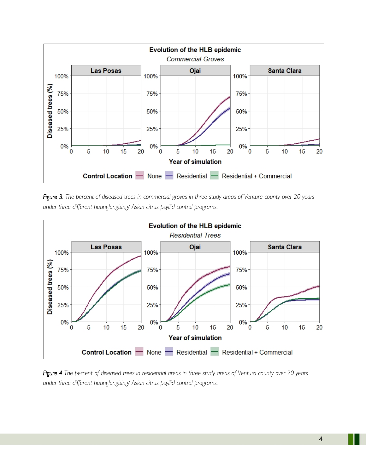

*Figure 3. The percent of diseased trees in commercial groves in three study areas of Ventura county over 20 years under three different huanglongbing/ Asian citrus psyllid control programs.* 



*Figure 4 The percent of diseased trees in residential areas in three study areas of Ventura county over 20 years under three different huanglongbing/ Asian citrus psyllid control programs.*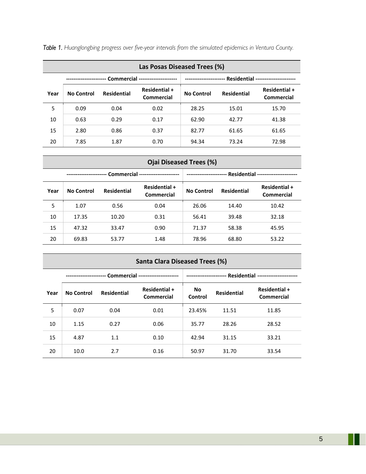| Las Posas Diseased Trees (%) |                                 |                    |                             |                                                         |                    |                             |
|------------------------------|---------------------------------|--------------------|-----------------------------|---------------------------------------------------------|--------------------|-----------------------------|
|                              | Commercial -------------------- |                    |                             | - Residential -----------------<br>-------------------- |                    |                             |
| Year                         | <b>No Control</b>               | <b>Residential</b> | Residential +<br>Commercial | <b>No Control</b>                                       | <b>Residential</b> | Residential +<br>Commercial |
| 5                            | 0.09                            | 0.04               | 0.02                        | 28.25                                                   | 15.01              | 15.70                       |
| 10                           | 0.63                            | 0.29               | 0.17                        | 62.90                                                   | 42.77              | 41.38                       |
| 15                           | 2.80                            | 0.86               | 0.37                        | 82.77                                                   | 61.65              | 61.65                       |
| 20                           | 7.85                            | 1.87               | 0.70                        | 94.34                                                   | 73.24              | 72.98                       |

*Table 1. Huanglongbing progress over five-year intervals from the simulated epidemics in Ventura County.*

| Ojai Diseased Trees (%)                               |                   |                    |                                                            |                   |                    |                                    |
|-------------------------------------------------------|-------------------|--------------------|------------------------------------------------------------|-------------------|--------------------|------------------------------------|
| Commercial ---------------------<br>----------------- |                   |                    | <b>Residential ------------------</b><br>----------------- |                   |                    |                                    |
| Year                                                  | <b>No Control</b> | <b>Residential</b> | <b>Residential +</b><br>Commercial                         | <b>No Control</b> | <b>Residential</b> | Residential +<br><b>Commercial</b> |
| 5                                                     | 1.07              | 0.56               | 0.04                                                       | 26.06             | 14.40              | 10.42                              |
| 10                                                    | 17.35             | 10.20              | 0.31                                                       | 56.41             | 39.48              | 32.18                              |
| 15                                                    | 47.32             | 33.47              | 0.90                                                       | 71.37             | 58.38              | 45.95                              |
| 20                                                    | 69.83             | 53.77              | 1.48                                                       | 78.96             | 68.80              | 53.22                              |

# **Santa Clara Diseased Trees (%)**

|      | - Commercial ---------------------<br>-------------- |                    |                                    | -- Residential --------------<br>-------------------- |                    |                                    |
|------|------------------------------------------------------|--------------------|------------------------------------|-------------------------------------------------------|--------------------|------------------------------------|
| Year | No Control                                           | <b>Residential</b> | Residential +<br><b>Commercial</b> | No<br>Control                                         | <b>Residential</b> | Residential +<br><b>Commercial</b> |
| 5    | 0.07                                                 | 0.04               | 0.01                               | 23.45%                                                | 11.51              | 11.85                              |
| 10   | 1.15                                                 | 0.27               | 0.06                               | 35.77                                                 | 28.26              | 28.52                              |
| 15   | 4.87                                                 | 1.1                | 0.10                               | 42.94                                                 | 31.15              | 33.21                              |
| 20   | 10.0                                                 | 2.7                | 0.16                               | 50.97                                                 | 31.70              | 33.54                              |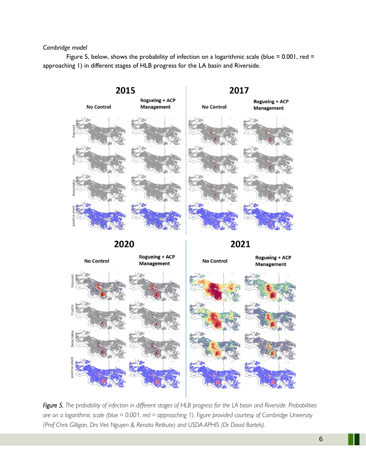### *Cambridge model*

Figure 5, below, shows the probability of infection on a logarithmic scale (blue =  $0.001$ , red = approaching 1) in different stages of HLB progress for the LA basin and Riverside.